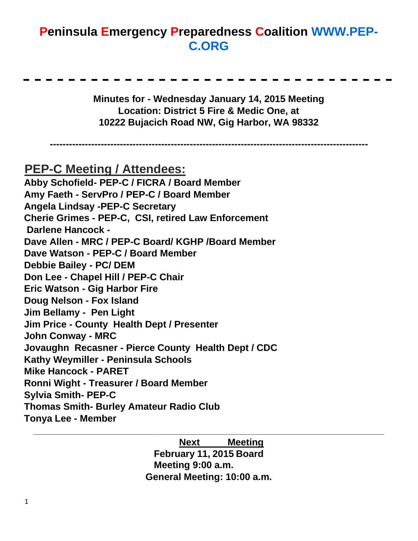## **Peninsula Emergency Preparedness Coalition [WWW.PEP-](http://www.pep-c.org/)[C.ORG](http://www.pep-c.org/)**

**Minutes for - Wednesday January 14, 2015 Meeting Location: District 5 Fire & Medic One, at 10222 Bujacich Road NW, Gig Harbor, WA 98332** 

**----------------------------------------------------------------------------------------------------**

**PEP-C Meeting / Attendees: Abby Schofield- PEP-C / FICRA / Board Member Amy Faeth - ServPro / PEP-C / Board Member Angela Lindsay -PEP-C Secretary Cherie Grimes - PEP-C, CSI, retired Law Enforcement Darlene Hancock - Dave Allen - MRC / PEP-C Board/ KGHP /Board Member Dave Watson - PEP-C / Board Member Debbie Bailey - PC/ DEM Don Lee - Chapel Hill / PEP-C Chair Eric Watson - Gig Harbor Fire Doug Nelson - Fox Island Jim Bellamy - Pen Light Jim Price - County Health Dept / Presenter John Conway - MRC Jovaughn Recasner - Pierce County Health Dept / CDC Kathy Weymiller - Peninsula Schools Mike Hancock - PARET Ronni Wight - Treasurer / Board Member Sylvia Smith- PEP-C Thomas Smith- Burley Amateur Radio Club Tonya Lee - Member** 

**Next Meeting**

**February 11, 2015 Board Meeting 9:00 a.m. General Meeting: 10:00 a.m.** 

**\_\_\_\_\_\_\_\_\_\_\_\_\_\_\_\_\_\_\_\_\_\_\_\_\_\_\_\_\_\_\_\_\_\_\_\_\_\_\_\_\_\_\_\_\_\_\_\_\_\_\_\_\_\_\_\_\_\_\_\_\_\_\_\_\_\_**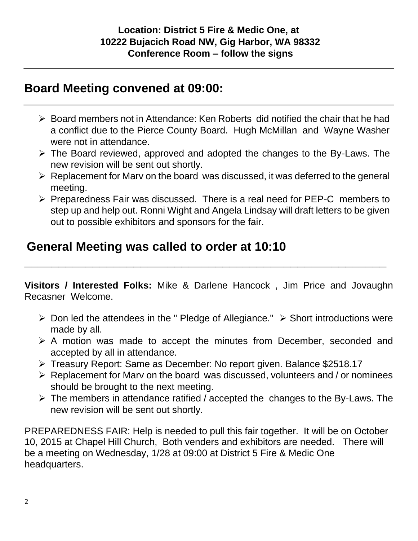## **Board Meeting convened at 09:00:**

- ➢ Board members not in Attendance: Ken Roberts did notified the chair that he had a conflict due to the Pierce County Board. Hugh McMillan and Wayne Washer were not in attendance.
- ➢ The Board reviewed, approved and adopted the changes to the By-Laws. The new revision will be sent out shortly.
- ➢ Replacement for Marv on the board was discussed, it was deferred to the general meeting.
- ➢ Preparedness Fair was discussed. There is a real need for PEP-C members to step up and help out. Ronni Wight and Angela Lindsay will draft letters to be given out to possible exhibitors and sponsors for the fair.

# **General Meeting was called to order at 10:10**

**Visitors / Interested Folks:** Mike & Darlene Hancock , Jim Price and Jovaughn Recasner Welcome.

**\_\_\_\_\_\_\_\_\_\_\_\_\_\_\_\_\_\_\_\_\_\_\_\_\_\_\_\_\_\_\_\_\_\_\_\_\_\_\_\_\_\_\_\_\_\_\_\_\_\_\_\_\_** 

- $\triangleright$  Don led the attendees in the " Pledge of Allegiance."  $\triangleright$  Short introductions were made by all.
- ➢ A motion was made to accept the minutes from December, seconded and accepted by all in attendance.
- ➢ Treasury Report: Same as December: No report given. Balance \$2518.17
- ➢ Replacement for Marv on the board was discussed, volunteers and / or nominees should be brought to the next meeting.
- $\triangleright$  The members in attendance ratified / accepted the changes to the By-Laws. The new revision will be sent out shortly.

PREPAREDNESS FAIR: Help is needed to pull this fair together. It will be on October 10, 2015 at Chapel Hill Church, Both venders and exhibitors are needed. There will be a meeting on Wednesday, 1/28 at 09:00 at District 5 Fire & Medic One headquarters.